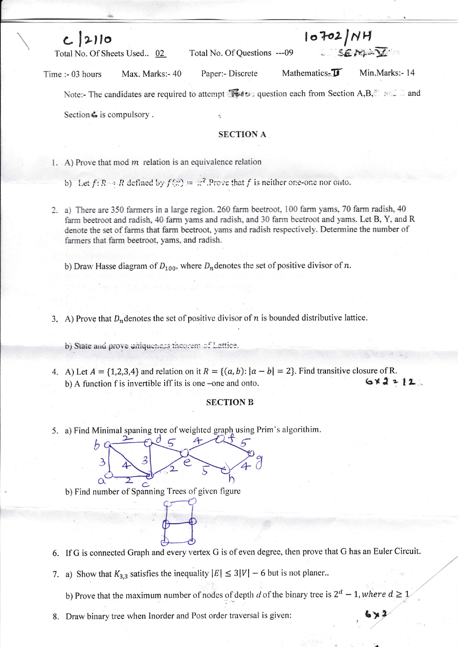| $c$ 2110                             | 10702/NH                                                                                           |                                 |
|--------------------------------------|----------------------------------------------------------------------------------------------------|---------------------------------|
| Total No. Of Sheets Used 02          | Total No. Of Questions ---09                                                                       | SEMAY                           |
| Max. Marks: - 40<br>Time :- 03 hours | Paper:- Discrete                                                                                   | Mathematics-T<br>Min.Marks:- 14 |
|                                      | Note:- The candidates are required to attempt <b>to all the section each from Section A,B,</b> and |                                 |
| Section $\mathcal{L}$ is compulsory  |                                                                                                    |                                 |

## **SECTION A**

- 1. A) Prove that mod  $m$  relation is an equivalence relation
	- b) Let  $f: R \to R$  defined by  $f(x) = x^2$ . Prove that f is neither one-one nor onto.
- 2. a) There are 350 farmers in a large region. 260 farm beetroot, 100 farm yams, 70 farm radish, 40 farm beetroot and radish, 40 farm yams and radish, and 30 farm beetroot and yams. Let B, Y, and R denote the set of farms that farm beetroot, yams and radish respectively. Determine the number of farmers that farm beetroot, yams, and radish.

b) Draw Hasse diagram of  $D_{100}$ , where  $D_n$  denotes the set of positive divisor of n.

- 3. A) Prove that  $D_n$  denotes the set of positive divisor of n is bounded distributive lattice.
	- b) State and prove uniqueness theorem of Lettice.
- 4. A) Let  $A = \{1,2,3,4\}$  and relation on it  $R = \{(a, b): |a b| = 2\}$ . Find transitive closure of R.  $6x2212$ b) A function f is invertible iff its is one –one and onto.

## **SECTION B**

5. a) Find Minimal spaning tree of weighted graph using Prim's algorithim.

З  $\alpha$ 

b) Find number of Spanning Trees of given figure

- 6. If G is connected Graph and every vertex G is of even degree, then prove that G has an Euler Circuit.
- 7. a) Show that  $K_{3,3}$  satisfies the inequality  $|E| \le 3|V| 6$  but is not planer.

b) Prove that the maximum number of nodes of depth d of the binary tree is  $2^d - 1$ , where  $d \ge 1$ 

8. Draw binary tree when Inorder and Post order traversal is given: